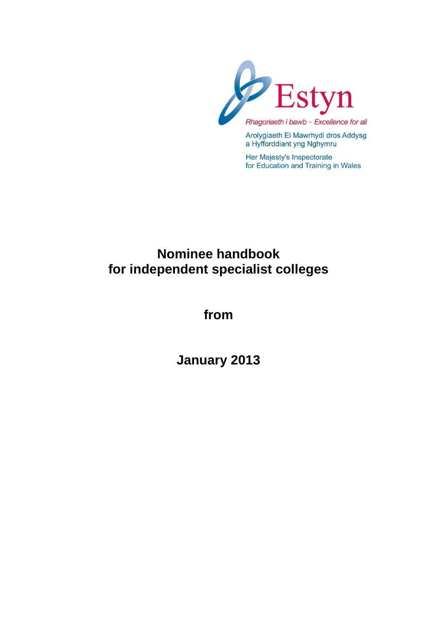

Arolygiaeth Ei Mawrhydi dros Addysg a Hyfforddiant yng Nghymru

Her Majesty's Inspectorate for Education and Training in Wales

# **Nominee handbook for independent specialist colleges**

**from**

**January 2013**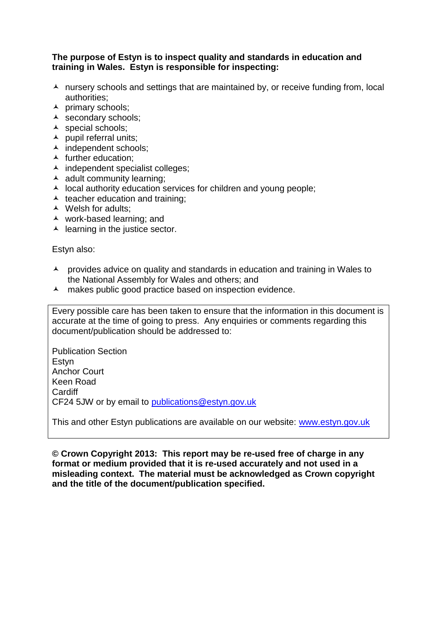#### **The purpose of Estyn is to inspect quality and standards in education and training in Wales. Estyn is responsible for inspecting:**

- $\lambda$  nursery schools and settings that are maintained by, or receive funding from, local authorities;
- $\lambda$  primary schools;
- A secondary schools;
- A special schools;
- $\blacktriangle$  pupil referral units;
- ▲ independent schools;
- $\blacktriangle$  further education:
- $\lambda$  independent specialist colleges;
- $\triangle$  adult community learning:
- $\lambda$  local authority education services for children and young people;
- $\triangle$  teacher education and training;
- ▲ Welsh for adults;
- work-based learning; and
- $\blacktriangle$  learning in the justice sector.

Estyn also:

- A provides advice on quality and standards in education and training in Wales to the National Assembly for Wales and others; and
- A makes public good practice based on inspection evidence.

Every possible care has been taken to ensure that the information in this document is accurate at the time of going to press. Any enquiries or comments regarding this document/publication should be addressed to:

Publication Section Estyn Anchor Court Keen Road Cardiff CF24 5JW or by email to [publications@estyn.gov.uk](mailto:publications@estyn.gov.uk)

This and other Estyn publications are available on our website: [www.estyn.gov.uk](http://www.estyn.gov.uk/)

**© Crown Copyright 2013: This report may be re-used free of charge in any format or medium provided that it is re-used accurately and not used in a misleading context. The material must be acknowledged as Crown copyright and the title of the document/publication specified.**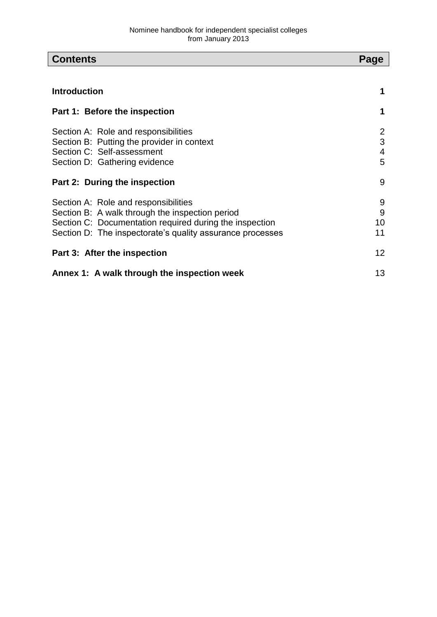| <b>Contents</b><br>Page                                                                                                                                                                                         |                    |  |
|-----------------------------------------------------------------------------------------------------------------------------------------------------------------------------------------------------------------|--------------------|--|
|                                                                                                                                                                                                                 |                    |  |
| <b>Introduction</b>                                                                                                                                                                                             |                    |  |
| Part 1: Before the inspection                                                                                                                                                                                   | 1                  |  |
| Section A: Role and responsibilities<br>Section B: Putting the provider in context<br>Section C: Self-assessment<br>Section D: Gathering evidence                                                               | 2<br>3<br>4<br>5   |  |
| Part 2: During the inspection                                                                                                                                                                                   | 9                  |  |
| Section A: Role and responsibilities<br>Section B: A walk through the inspection period<br>Section C: Documentation required during the inspection<br>Section D: The inspectorate's quality assurance processes | 9<br>9<br>10<br>11 |  |
| Part 3: After the inspection                                                                                                                                                                                    | 12                 |  |
| Annex 1: A walk through the inspection week                                                                                                                                                                     |                    |  |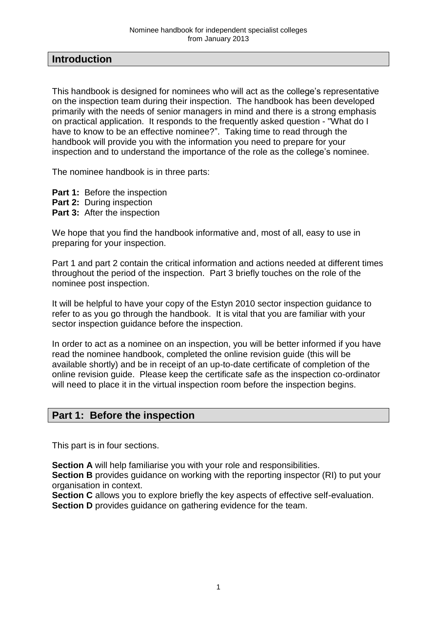## **Introduction**

This handbook is designed for nominees who will act as the college's representative on the inspection team during their inspection. The handbook has been developed primarily with the needs of senior managers in mind and there is a strong emphasis on practical application. It responds to the frequently asked question - "What do I have to know to be an effective nominee?". Taking time to read through the handbook will provide you with the information you need to prepare for your inspection and to understand the importance of the role as the college's nominee.

The nominee handbook is in three parts:

- **Part 1: Before the inspection**
- **Part 2:** During inspection
- **Part 3: After the inspection**

We hope that you find the handbook informative and, most of all, easy to use in preparing for your inspection.

Part 1 and part 2 contain the critical information and actions needed at different times throughout the period of the inspection. Part 3 briefly touches on the role of the nominee post inspection.

It will be helpful to have your copy of the Estyn 2010 sector inspection guidance to refer to as you go through the handbook. It is vital that you are familiar with your sector inspection guidance before the inspection.

In order to act as a nominee on an inspection, you will be better informed if you have read the nominee handbook, completed the online revision guide (this will be available shortly) and be in receipt of an up-to-date certificate of completion of the online revision guide. Please keep the certificate safe as the inspection co-ordinator will need to place it in the virtual inspection room before the inspection begins.

## **Part 1: Before the inspection**

This part is in four sections.

**Section A** will help familiarise you with your role and responsibilities.

**Section B** provides guidance on working with the reporting inspector (RI) to put your organisation in context.

**Section C** allows you to explore briefly the key aspects of effective self-evaluation. **Section D** provides guidance on gathering evidence for the team.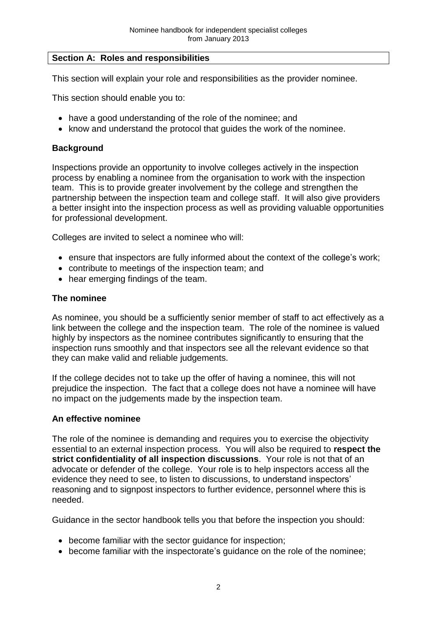#### **Section A: Roles and responsibilities**

This section will explain your role and responsibilities as the provider nominee.

This section should enable you to:

- have a good understanding of the role of the nominee; and
- know and understand the protocol that quides the work of the nominee.

## **Background**

Inspections provide an opportunity to involve colleges actively in the inspection process by enabling a nominee from the organisation to work with the inspection team. This is to provide greater involvement by the college and strengthen the partnership between the inspection team and college staff. It will also give providers a better insight into the inspection process as well as providing valuable opportunities for professional development.

Colleges are invited to select a nominee who will:

- ensure that inspectors are fully informed about the context of the college's work;
- contribute to meetings of the inspection team; and
- hear emerging findings of the team.

#### **The nominee**

As nominee, you should be a sufficiently senior member of staff to act effectively as a link between the college and the inspection team. The role of the nominee is valued highly by inspectors as the nominee contributes significantly to ensuring that the inspection runs smoothly and that inspectors see all the relevant evidence so that they can make valid and reliable judgements.

If the college decides not to take up the offer of having a nominee, this will not prejudice the inspection. The fact that a college does not have a nominee will have no impact on the judgements made by the inspection team.

#### **An effective nominee**

The role of the nominee is demanding and requires you to exercise the objectivity essential to an external inspection process. You will also be required to **respect the strict confidentiality of all inspection discussions**. Your role is not that of an advocate or defender of the college. Your role is to help inspectors access all the evidence they need to see, to listen to discussions, to understand inspectors' reasoning and to signpost inspectors to further evidence, personnel where this is needed.

Guidance in the sector handbook tells you that before the inspection you should:

- become familiar with the sector guidance for inspection;
- become familiar with the inspectorate's guidance on the role of the nominee;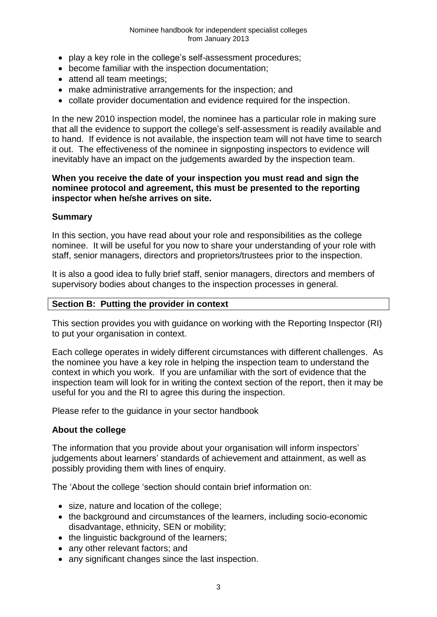- play a key role in the college's self-assessment procedures;
- become familiar with the inspection documentation;
- attend all team meetings:
- make administrative arrangements for the inspection; and
- collate provider documentation and evidence required for the inspection.

In the new 2010 inspection model, the nominee has a particular role in making sure that all the evidence to support the college's self-assessment is readily available and to hand. If evidence is not available, the inspection team will not have time to search it out. The effectiveness of the nominee in signposting inspectors to evidence will inevitably have an impact on the judgements awarded by the inspection team.

#### **When you receive the date of your inspection you must read and sign the nominee protocol and agreement, this must be presented to the reporting inspector when he/she arrives on site.**

#### **Summary**

In this section, you have read about your role and responsibilities as the college nominee. It will be useful for you now to share your understanding of your role with staff, senior managers, directors and proprietors/trustees prior to the inspection.

It is also a good idea to fully brief staff, senior managers, directors and members of supervisory bodies about changes to the inspection processes in general.

#### **Section B: Putting the provider in context**

This section provides you with guidance on working with the Reporting Inspector (RI) to put your organisation in context.

Each college operates in widely different circumstances with different challenges. As the nominee you have a key role in helping the inspection team to understand the context in which you work. If you are unfamiliar with the sort of evidence that the inspection team will look for in writing the context section of the report, then it may be useful for you and the RI to agree this during the inspection.

Please refer to the guidance in your sector handbook

## **About the college**

The information that you provide about your organisation will inform inspectors' judgements about learners' standards of achievement and attainment, as well as possibly providing them with lines of enquiry.

The 'About the college 'section should contain brief information on:

- size, nature and location of the college;
- the background and circumstances of the learners, including socio-economic disadvantage, ethnicity, SEN or mobility;
- the linguistic background of the learners;
- any other relevant factors; and
- any significant changes since the last inspection.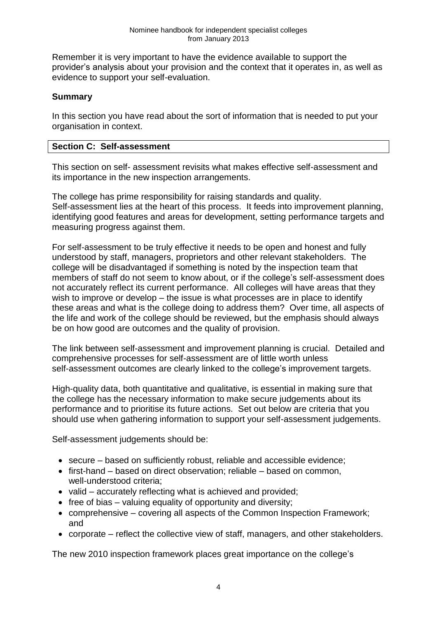Remember it is very important to have the evidence available to support the provider's analysis about your provision and the context that it operates in, as well as evidence to support your self-evaluation.

## **Summary**

In this section you have read about the sort of information that is needed to put your organisation in context.

## **Section C: Self-assessment**

This section on self- assessment revisits what makes effective self-assessment and its importance in the new inspection arrangements.

The college has prime responsibility for raising standards and quality. Self-assessment lies at the heart of this process. It feeds into improvement planning, identifying good features and areas for development, setting performance targets and measuring progress against them.

For self-assessment to be truly effective it needs to be open and honest and fully understood by staff, managers, proprietors and other relevant stakeholders. The college will be disadvantaged if something is noted by the inspection team that members of staff do not seem to know about, or if the college's self-assessment does not accurately reflect its current performance. All colleges will have areas that they wish to improve or develop – the issue is what processes are in place to identify these areas and what is the college doing to address them? Over time, all aspects of the life and work of the college should be reviewed, but the emphasis should always be on how good are outcomes and the quality of provision.

The link between self-assessment and improvement planning is crucial. Detailed and comprehensive processes for self-assessment are of little worth unless self-assessment outcomes are clearly linked to the college's improvement targets.

High-quality data, both quantitative and qualitative, is essential in making sure that the college has the necessary information to make secure judgements about its performance and to prioritise its future actions. Set out below are criteria that you should use when gathering information to support your self-assessment judgements.

Self-assessment judgements should be:

- secure based on sufficiently robust, reliable and accessible evidence;
- first-hand based on direct observation; reliable based on common, well-understood criteria;
- $\bullet$  valid accurately reflecting what is achieved and provided;
- $\bullet$  free of bias valuing equality of opportunity and diversity;
- comprehensive covering all aspects of the Common Inspection Framework; and
- corporate reflect the collective view of staff, managers, and other stakeholders.

The new 2010 inspection framework places great importance on the college's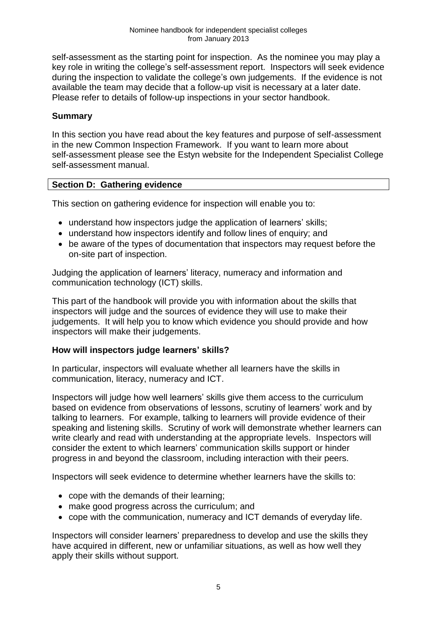self-assessment as the starting point for inspection. As the nominee you may play a key role in writing the college's self-assessment report. Inspectors will seek evidence during the inspection to validate the college's own judgements. If the evidence is not available the team may decide that a follow-up visit is necessary at a later date. Please refer to details of follow-up inspections in your sector handbook.

## **Summary**

In this section you have read about the key features and purpose of self-assessment in the new Common Inspection Framework. If you want to learn more about self-assessment please see the Estyn website for the Independent Specialist College self-assessment manual.

#### **Section D: Gathering evidence**

This section on gathering evidence for inspection will enable you to:

- understand how inspectors judge the application of learners' skills;
- understand how inspectors identify and follow lines of enquiry; and
- be aware of the types of documentation that inspectors may request before the on-site part of inspection.

Judging the application of learners' literacy, numeracy and information and communication technology (ICT) skills.

This part of the handbook will provide you with information about the skills that inspectors will judge and the sources of evidence they will use to make their judgements. It will help you to know which evidence you should provide and how inspectors will make their judgements.

## **How will inspectors judge learners' skills?**

In particular, inspectors will evaluate whether all learners have the skills in communication, literacy, numeracy and ICT.

Inspectors will judge how well learners' skills give them access to the curriculum based on evidence from observations of lessons, scrutiny of learners' work and by talking to learners. For example, talking to learners will provide evidence of their speaking and listening skills. Scrutiny of work will demonstrate whether learners can write clearly and read with understanding at the appropriate levels. Inspectors will consider the extent to which learners' communication skills support or hinder progress in and beyond the classroom, including interaction with their peers.

Inspectors will seek evidence to determine whether learners have the skills to:

- cope with the demands of their learning;
- make good progress across the curriculum; and
- cope with the communication, numeracy and ICT demands of everyday life.

Inspectors will consider learners' preparedness to develop and use the skills they have acquired in different, new or unfamiliar situations, as well as how well they apply their skills without support.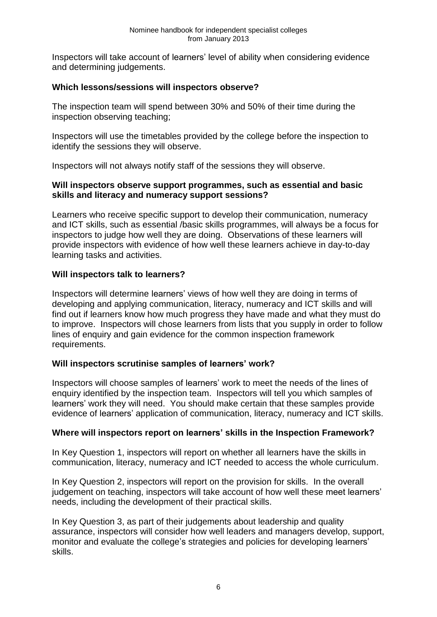Inspectors will take account of learners' level of ability when considering evidence and determining judgements.

## **Which lessons/sessions will inspectors observe?**

The inspection team will spend between 30% and 50% of their time during the inspection observing teaching;

Inspectors will use the timetables provided by the college before the inspection to identify the sessions they will observe.

Inspectors will not always notify staff of the sessions they will observe.

#### **Will inspectors observe support programmes, such as essential and basic skills and literacy and numeracy support sessions?**

Learners who receive specific support to develop their communication, numeracy and ICT skills, such as essential /basic skills programmes, will always be a focus for inspectors to judge how well they are doing. Observations of these learners will provide inspectors with evidence of how well these learners achieve in day-to-day learning tasks and activities.

#### **Will inspectors talk to learners?**

Inspectors will determine learners' views of how well they are doing in terms of developing and applying communication, literacy, numeracy and ICT skills and will find out if learners know how much progress they have made and what they must do to improve. Inspectors will chose learners from lists that you supply in order to follow lines of enquiry and gain evidence for the common inspection framework requirements.

#### **Will inspectors scrutinise samples of learners' work?**

Inspectors will choose samples of learners' work to meet the needs of the lines of enquiry identified by the inspection team. Inspectors will tell you which samples of learners' work they will need. You should make certain that these samples provide evidence of learners' application of communication, literacy, numeracy and ICT skills.

## **Where will inspectors report on learners' skills in the Inspection Framework?**

In Key Question 1, inspectors will report on whether all learners have the skills in communication, literacy, numeracy and ICT needed to access the whole curriculum.

In Key Question 2, inspectors will report on the provision for skills. In the overall judgement on teaching, inspectors will take account of how well these meet learners' needs, including the development of their practical skills.

In Key Question 3, as part of their judgements about leadership and quality assurance, inspectors will consider how well leaders and managers develop, support, monitor and evaluate the college's strategies and policies for developing learners' skills.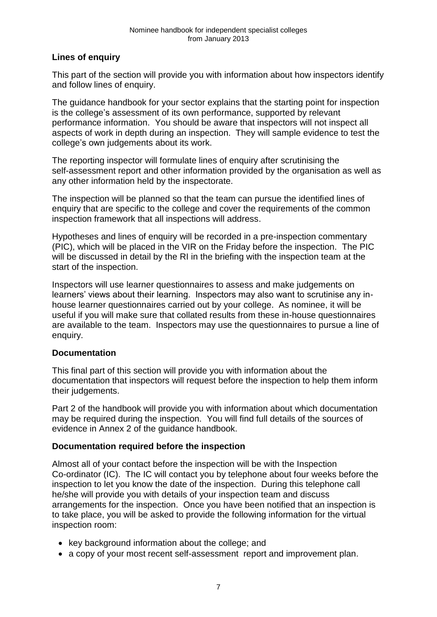## **Lines of enquiry**

This part of the section will provide you with information about how inspectors identify and follow lines of enquiry.

The guidance handbook for your sector explains that the starting point for inspection is the college's assessment of its own performance, supported by relevant performance information. You should be aware that inspectors will not inspect all aspects of work in depth during an inspection. They will sample evidence to test the college's own judgements about its work.

The reporting inspector will formulate lines of enquiry after scrutinising the self-assessment report and other information provided by the organisation as well as any other information held by the inspectorate.

The inspection will be planned so that the team can pursue the identified lines of enquiry that are specific to the college and cover the requirements of the common inspection framework that all inspections will address.

Hypotheses and lines of enquiry will be recorded in a pre-inspection commentary (PIC), which will be placed in the VIR on the Friday before the inspection. The PIC will be discussed in detail by the RI in the briefing with the inspection team at the start of the inspection.

Inspectors will use learner questionnaires to assess and make judgements on learners' views about their learning. Inspectors may also want to scrutinise any inhouse learner questionnaires carried out by your college. As nominee, it will be useful if you will make sure that collated results from these in-house questionnaires are available to the team. Inspectors may use the questionnaires to pursue a line of enquiry.

## **Documentation**

This final part of this section will provide you with information about the documentation that inspectors will request before the inspection to help them inform their judgements.

Part 2 of the handbook will provide you with information about which documentation may be required during the inspection. You will find full details of the sources of evidence in Annex 2 of the guidance handbook.

#### **Documentation required before the inspection**

Almost all of your contact before the inspection will be with the Inspection Co-ordinator (IC). The IC will contact you by telephone about four weeks before the inspection to let you know the date of the inspection. During this telephone call he/she will provide you with details of your inspection team and discuss arrangements for the inspection. Once you have been notified that an inspection is to take place, you will be asked to provide the following information for the virtual inspection room:

- key background information about the college; and
- a copy of your most recent self-assessment report and improvement plan.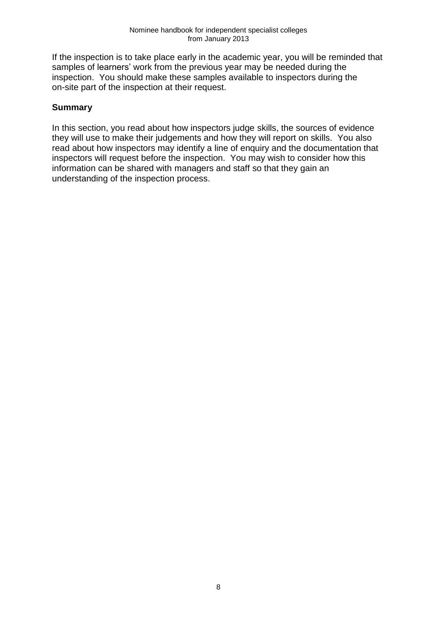If the inspection is to take place early in the academic year, you will be reminded that samples of learners' work from the previous year may be needed during the inspection. You should make these samples available to inspectors during the on-site part of the inspection at their request.

## **Summary**

In this section, you read about how inspectors judge skills, the sources of evidence they will use to make their judgements and how they will report on skills. You also read about how inspectors may identify a line of enquiry and the documentation that inspectors will request before the inspection. You may wish to consider how this information can be shared with managers and staff so that they gain an understanding of the inspection process.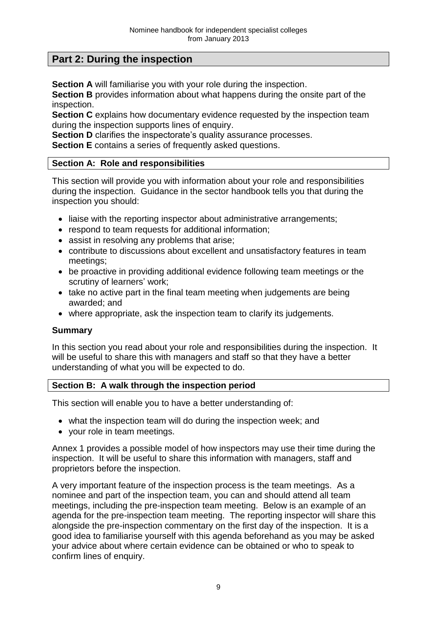## **Part 2: During the inspection**

**Section A** will familiarise you with your role during the inspection.

**Section B** provides information about what happens during the onsite part of the inspection.

**Section C** explains how documentary evidence requested by the inspection team during the inspection supports lines of enquiry.

**Section D** clarifies the inspectorate's quality assurance processes.

**Section E** contains a series of frequently asked questions.

#### **Section A: Role and responsibilities**

This section will provide you with information about your role and responsibilities during the inspection. Guidance in the sector handbook tells you that during the inspection you should:

- liaise with the reporting inspector about administrative arrangements;
- respond to team requests for additional information:
- assist in resolving any problems that arise;
- contribute to discussions about excellent and unsatisfactory features in team meetings;
- be proactive in providing additional evidence following team meetings or the scrutiny of learners' work;
- take no active part in the final team meeting when judgements are being awarded; and
- where appropriate, ask the inspection team to clarify its judgements.

#### **Summary**

In this section you read about your role and responsibilities during the inspection. It will be useful to share this with managers and staff so that they have a better understanding of what you will be expected to do.

#### **Section B: A walk through the inspection period**

This section will enable you to have a better understanding of:

- what the inspection team will do during the inspection week; and
- your role in team meetings.

Annex 1 provides a possible model of how inspectors may use their time during the inspection. It will be useful to share this information with managers, staff and proprietors before the inspection.

A very important feature of the inspection process is the team meetings. As a nominee and part of the inspection team, you can and should attend all team meetings, including the pre-inspection team meeting. Below is an example of an agenda for the pre-inspection team meeting. The reporting inspector will share this alongside the pre-inspection commentary on the first day of the inspection. It is a good idea to familiarise yourself with this agenda beforehand as you may be asked your advice about where certain evidence can be obtained or who to speak to confirm lines of enquiry.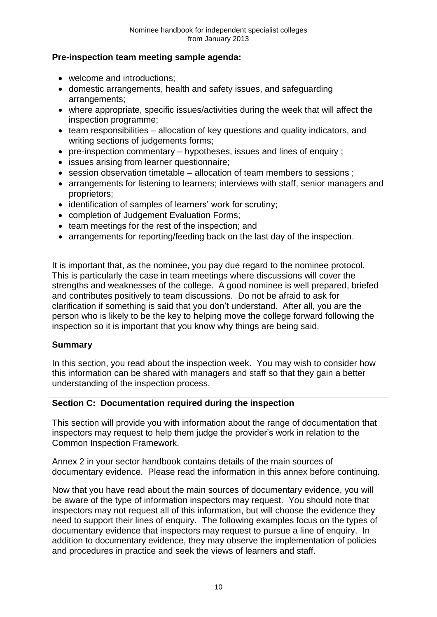#### **Pre-inspection team meeting sample agenda:**

- welcome and introductions:
- domestic arrangements, health and safety issues, and safeguarding arrangements;
- where appropriate, specific issues/activities during the week that will affect the inspection programme;
- team responsibilities allocation of key questions and quality indicators, and writing sections of judgements forms;
- $\bullet$  pre-inspection commentary hypotheses, issues and lines of enquiry ;
- issues arising from learner questionnaire;
- session observation timetable allocation of team members to sessions ;
- arrangements for listening to learners; interviews with staff, senior managers and proprietors;
- identification of samples of learners' work for scrutiny;
- completion of Judgement Evaluation Forms;
- team meetings for the rest of the inspection; and
- arrangements for reporting/feeding back on the last day of the inspection.

It is important that, as the nominee, you pay due regard to the nominee protocol. This is particularly the case in team meetings where discussions will cover the strengths and weaknesses of the college. A good nominee is well prepared, briefed and contributes positively to team discussions. Do not be afraid to ask for clarification if something is said that you don't understand. After all, you are the person who is likely to be the key to helping move the college forward following the inspection so it is important that you know why things are being said.

#### **Summary**

In this section, you read about the inspection week. You may wish to consider how this information can be shared with managers and staff so that they gain a better understanding of the inspection process.

#### **Section C: Documentation required during the inspection**

This section will provide you with information about the range of documentation that inspectors may request to help them judge the provider's work in relation to the Common Inspection Framework.

Annex 2 in your sector handbook contains details of the main sources of documentary evidence. Please read the information in this annex before continuing.

Now that you have read about the main sources of documentary evidence, you will be aware of the type of information inspectors may request. You should note that inspectors may not request all of this information, but will choose the evidence they need to support their lines of enquiry. The following examples focus on the types of documentary evidence that inspectors may request to pursue a line of enquiry. In addition to documentary evidence, they may observe the implementation of policies and procedures in practice and seek the views of learners and staff.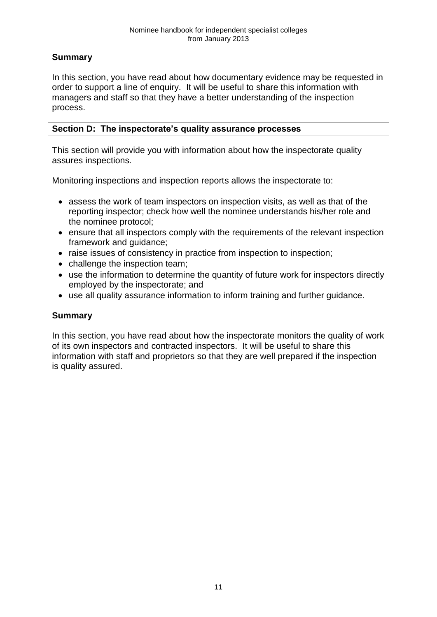## **Summary**

In this section, you have read about how documentary evidence may be requested in order to support a line of enquiry. It will be useful to share this information with managers and staff so that they have a better understanding of the inspection process.

## **Section D: The inspectorate's quality assurance processes**

This section will provide you with information about how the inspectorate quality assures inspections.

Monitoring inspections and inspection reports allows the inspectorate to:

- assess the work of team inspectors on inspection visits, as well as that of the reporting inspector; check how well the nominee understands his/her role and the nominee protocol;
- ensure that all inspectors comply with the requirements of the relevant inspection framework and guidance;
- raise issues of consistency in practice from inspection to inspection:
- challenge the inspection team;
- use the information to determine the quantity of future work for inspectors directly employed by the inspectorate; and
- use all quality assurance information to inform training and further guidance.

## **Summary**

In this section, you have read about how the inspectorate monitors the quality of work of its own inspectors and contracted inspectors. It will be useful to share this information with staff and proprietors so that they are well prepared if the inspection is quality assured.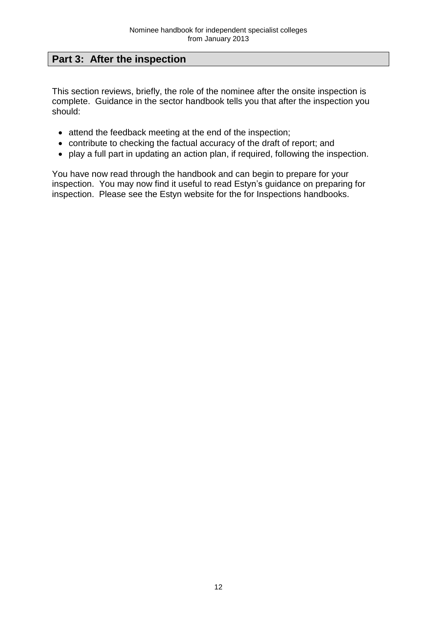## **Part 3: After the inspection**

This section reviews, briefly, the role of the nominee after the onsite inspection is complete. Guidance in the sector handbook tells you that after the inspection you should:

- attend the feedback meeting at the end of the inspection;
- contribute to checking the factual accuracy of the draft of report; and
- play a full part in updating an action plan, if required, following the inspection.

You have now read through the handbook and can begin to prepare for your inspection. You may now find it useful to read Estyn's guidance on preparing for inspection. Please see the Estyn website for the for Inspections handbooks.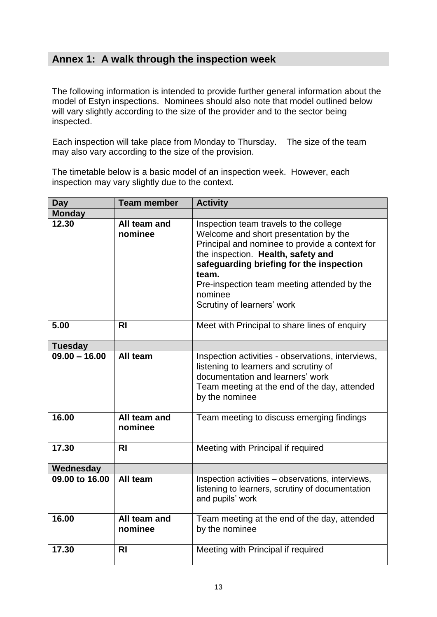# **Annex 1: A walk through the inspection week**

The following information is intended to provide further general information about the model of Estyn inspections. Nominees should also note that model outlined below will vary slightly according to the size of the provider and to the sector being inspected.

Each inspection will take place from Monday to Thursday. The size of the team may also vary according to the size of the provision.

The timetable below is a basic model of an inspection week. However, each inspection may vary slightly due to the context.

| <b>Day</b>      | <b>Team member</b>      | <b>Activity</b>                                                                                                                                                                                                                                                                                                      |
|-----------------|-------------------------|----------------------------------------------------------------------------------------------------------------------------------------------------------------------------------------------------------------------------------------------------------------------------------------------------------------------|
| <b>Monday</b>   |                         |                                                                                                                                                                                                                                                                                                                      |
| 12.30           | All team and<br>nominee | Inspection team travels to the college<br>Welcome and short presentation by the<br>Principal and nominee to provide a context for<br>the inspection. Health, safety and<br>safeguarding briefing for the inspection<br>team.<br>Pre-inspection team meeting attended by the<br>nominee<br>Scrutiny of learners' work |
| 5.00            | <b>RI</b>               | Meet with Principal to share lines of enquiry                                                                                                                                                                                                                                                                        |
| <b>Tuesday</b>  |                         |                                                                                                                                                                                                                                                                                                                      |
| $09.00 - 16.00$ | All team                | Inspection activities - observations, interviews,<br>listening to learners and scrutiny of<br>documentation and learners' work<br>Team meeting at the end of the day, attended<br>by the nominee                                                                                                                     |
| 16.00           | All team and<br>nominee | Team meeting to discuss emerging findings                                                                                                                                                                                                                                                                            |
| 17.30           | <b>RI</b>               | Meeting with Principal if required                                                                                                                                                                                                                                                                                   |
| Wednesday       |                         |                                                                                                                                                                                                                                                                                                                      |
| 09.00 to 16.00  | All team                | Inspection activities - observations, interviews,<br>listening to learners, scrutiny of documentation<br>and pupils' work                                                                                                                                                                                            |
| 16.00           | All team and<br>nominee | Team meeting at the end of the day, attended<br>by the nominee                                                                                                                                                                                                                                                       |
| 17.30           | <b>RI</b>               | Meeting with Principal if required                                                                                                                                                                                                                                                                                   |